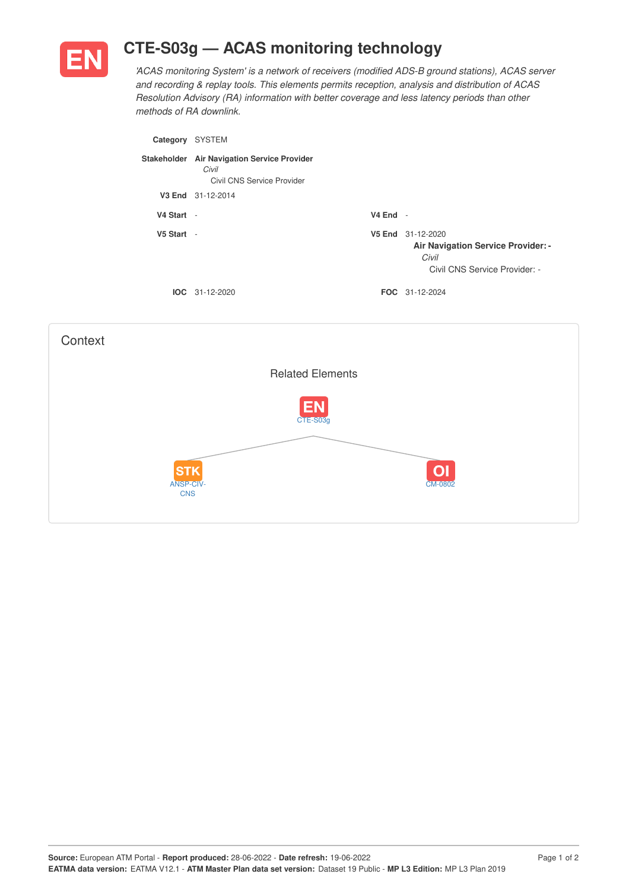

## **CTE-S03g — ACAS monitoring technology**

*'ACAS monitoring System' is a network of receivers (modified ADS-B ground stations), ACAS server and recording & replay tools. This elements permits reception, analysis and distribution of ACAS Resolution Advisory (RA) information with better coverage and less latency periods than other methods of RA downlink.*

| Category    | <b>SYSTEM</b>                                                                 |            |                                                                                                          |
|-------------|-------------------------------------------------------------------------------|------------|----------------------------------------------------------------------------------------------------------|
| Stakeholder | <b>Air Navigation Service Provider</b><br>Civil<br>Civil CNS Service Provider |            |                                                                                                          |
|             | V3 End 31-12-2014                                                             |            |                                                                                                          |
| V4 Start    | $\overline{\phantom{a}}$                                                      | $V4$ End - |                                                                                                          |
| V5 Start    | $\overline{\phantom{a}}$                                                      |            | V5 End 31-12-2020<br><b>Air Navigation Service Provider: -</b><br>Civil<br>Civil CNS Service Provider: - |
|             | $IOC 31-12-2020$                                                              |            | <b>FOC</b> 31-12-2024                                                                                    |